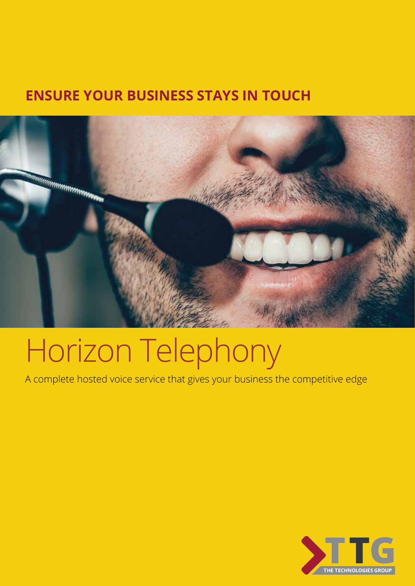## **ENSURE YOUR BUSINESS STAYS IN TOUCH**



# Horizon Telephony

A complete hosted voice service that gives your business the competitive edge

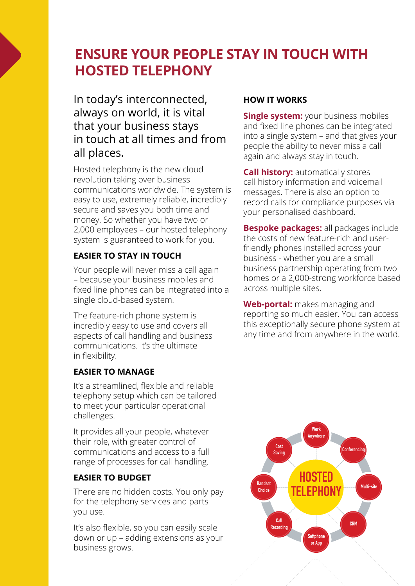## **ENSURE YOUR PEOPLE STAY IN TOUCH WITH HOSTED TELEPHONY**

In today's interconnected, always on world, it is vital that your business stays in touch at all times and from all places**.**

Hosted telephony is the new cloud revolution taking over business communications worldwide. The system is easy to use, extremely reliable, incredibly secure and saves you both time and money. So whether you have two or 2,000 employees – our hosted telephony system is guaranteed to work for you.

### **EASIER TO STAY IN TOUCH**

Your people will never miss a call again – because your business mobiles and fixed line phones can be integrated into a single cloud-based system. **Anywhere nones** can be integrated

The feature-rich phone system is **Incredibly easy to use and covers all**<br>aspects of call handling and business aspects of call handling and business communications. It's the ultimate in flexibility. bly easy to use and covers all

#### **EASIER TO MANAGE Softphone**

It's a streamlined, flexible and reliable telephony setup which can be tailored to meet your particular operational challenges.

It provides all your people, whatever their role, with greater control of communications and access to a full range of processes for call handling. **Saving**

## **EASIER TO BUDGET HOSTED**

There are no hidden costs. You only pay<br>for the telephony services and parts for the telephony services and parts you use. re are no hidden costs. You onl<sub>!</sub>

It's also flexible, so you can easily scale down or up – adding extensions as your **Softphone** business grows.

#### **HOW IT WORKS**

**Single system:** your business mobiles and fixed line phones can be integrated into a single system – and that gives your people the ability to never miss a call again and always stay in touch.

**Call history:** automatically stores call history information and voicemail messages. There is also an option to record calls for compliance purposes via your personalised dashboard.

**Bespoke packages:** all packages include the costs of new feature-rich and userfriendly phones installed across your business - whether you are a small business partnership operating from two homes or a 2,000-strong workforce based across multiple sites.

**Web-portal:** makes managing and reporting so much easier. You can access this exceptionally secure phone system at any time and from anywhere in the world.<br>any time and from anywhere in the world. **TELEPHONY** 

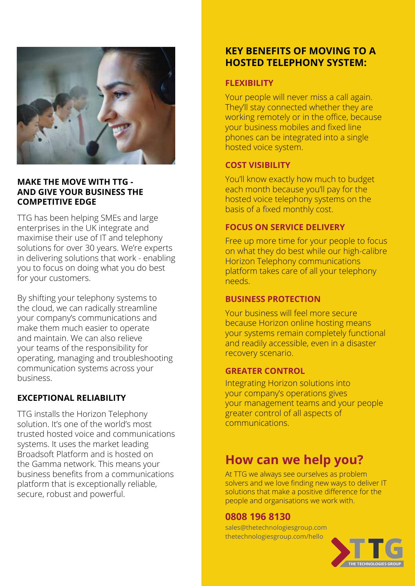

#### **MAKE THE MOVE WITH TTG - AND GIVE YOUR BUSINESS THE COMPETITIVE EDGE**

TTG has been helping SMEs and large enterprises in the UK integrate and maximise their use of IT and telephony solutions for over 30 years. We're experts in delivering solutions that work - enabling you to focus on doing what you do best for your customers.

By shifting your telephony systems to the cloud, we can radically streamline your company's communications and make them much easier to operate and maintain. We can also relieve your teams of the responsibility for operating, managing and troubleshooting communication systems across your business.

#### **EXCEPTIONAL RELIABILITY**

TTG installs the Horizon Telephony solution. It's one of the world's most trusted hosted voice and communications systems. It uses the market leading Broadsoft Platform and is hosted on the Gamma network. This means your business benefits from a communications platform that is exceptionally reliable, secure, robust and powerful.

### **KEY BENEFITS OF MOVING TO A HOSTED TELEPHONY SYSTEM:**

#### **FLEXIBILITY**

Your people will never miss a call again. They'll stay connected whether they are working remotely or in the office, because your business mobiles and fixed line phones can be integrated into a single hosted voice system.

#### **COST VISIBILITY**

You'll know exactly how much to budget each month because you'll pay for the hosted voice telephony systems on the basis of a fixed monthly cost.

#### **FOCUS ON SERVICE DELIVERY**

Free up more time for your people to focus on what they do best while our high-calibre Horizon Telephony communications platform takes care of all your telephony needs.

#### **BUSINESS PROTECTION**

Your business will feel more secure because Horizon online hosting means your systems remain completely functional and readily accessible, even in a disaster recovery scenario.

#### **GREATER CONTROL**

Integrating Horizon solutions into your company's operations gives your management teams and your people greater control of all aspects of communications.

## **How can we help you?**

At TTG we always see ourselves as problem solvers and we love finding new ways to deliver IT solutions that make a positive difference for the people and organisations we work with.

#### **0808 196 8130**

sales@thetechnologiesgroup.com thetechnologiesgroup.com/hello